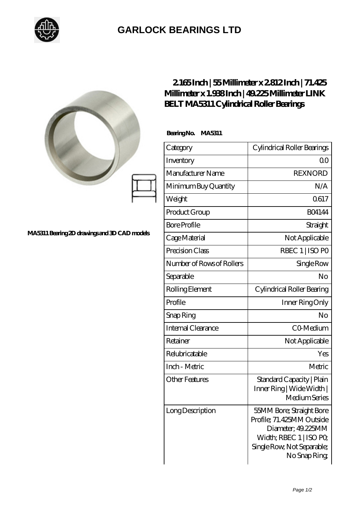

## **[GARLOCK BEARINGS LTD](https://m.letterstopriests.com)**

|                                              | 2165Inch   55Millimeter x 2812Inch   71.425<br>Millimeter x 1.938Inch   49.225 Millimeter LINK<br><b>BELT MA5311 Cylindrical Roller Bearings</b> |                                                                                                                                                     |
|----------------------------------------------|--------------------------------------------------------------------------------------------------------------------------------------------------|-----------------------------------------------------------------------------------------------------------------------------------------------------|
|                                              | BearingNo.<br><b>MA5311</b>                                                                                                                      |                                                                                                                                                     |
| MA5311 Bearing 2D drawings and 3D CAD models | Category                                                                                                                                         | Cylindrical Roller Bearings                                                                                                                         |
|                                              | Inventory                                                                                                                                        | Q <sub>O</sub>                                                                                                                                      |
|                                              | Manufacturer Name                                                                                                                                | <b>REXNORD</b>                                                                                                                                      |
|                                              | Minimum Buy Quantity                                                                                                                             | N/A                                                                                                                                                 |
|                                              | Weight                                                                                                                                           | 0617                                                                                                                                                |
|                                              | Product Group                                                                                                                                    | <b>BO4144</b>                                                                                                                                       |
|                                              | <b>Bore Profile</b>                                                                                                                              | Straight                                                                                                                                            |
|                                              | Cage Material                                                                                                                                    | Not Applicable                                                                                                                                      |
|                                              | Precision Class                                                                                                                                  | RBEC 1   ISO PO                                                                                                                                     |
|                                              | Number of Rows of Rollers                                                                                                                        | Single Row                                                                                                                                          |
|                                              | Separable                                                                                                                                        | No                                                                                                                                                  |
|                                              | Rolling Element                                                                                                                                  | Cylindrical Roller Bearing                                                                                                                          |
|                                              | Profile                                                                                                                                          | Inner Ring Only                                                                                                                                     |
|                                              | Snap Ring                                                                                                                                        | No                                                                                                                                                  |
|                                              | Internal Clearance                                                                                                                               | CO-Medium                                                                                                                                           |
|                                              | Retainer                                                                                                                                         | Not Applicable                                                                                                                                      |
|                                              | Relubricatable                                                                                                                                   | Yes                                                                                                                                                 |
|                                              | Inch - Metric                                                                                                                                    | Metric                                                                                                                                              |
|                                              | <b>Other Features</b>                                                                                                                            | Standard Capacity   Plain<br>Inner Ring   Wide Width  <br>Medium Series                                                                             |
|                                              | Long Description                                                                                                                                 | 55MM Bore; Straight Bore<br>Profile; 71.425MM Outside<br>Diameter; 49.225MM<br>Width; RBEC 1   ISO PO<br>Single Row, Not Separable;<br>No Snap Ring |